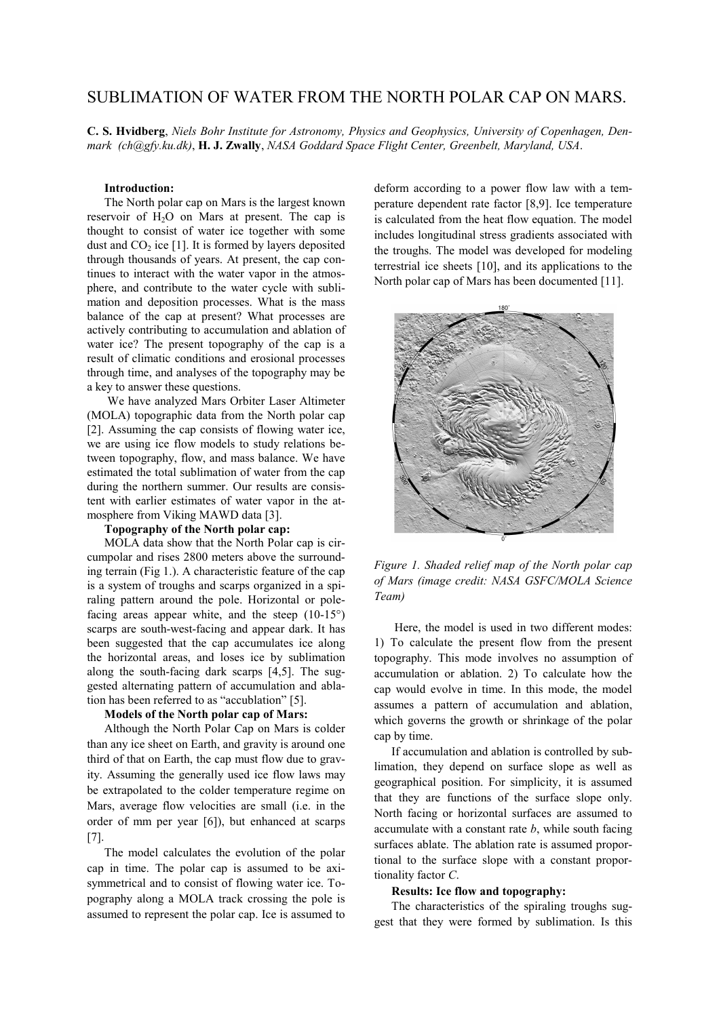# SUBLIMATION OF WATER FROM THE NORTH POLAR CAP ON MARS.

**C. S. Hvidberg**, *Niels Bohr Institute for Astronomy, Physics and Geophysics, University of Copenhagen, Denmark (ch@gfy.ku.dk)*, **H. J. Zwally**, *NASA Goddard Space Flight Center, Greenbelt, Maryland, USA*.

#### **Introduction:**

The North polar cap on Mars is the largest known reservoir of  $H<sub>2</sub>O$  on Mars at present. The cap is thought to consist of water ice together with some dust and  $CO<sub>2</sub>$  ice [1]. It is formed by layers deposited through thousands of years. At present, the cap continues to interact with the water vapor in the atmosphere, and contribute to the water cycle with sublimation and deposition processes. What is the mass balance of the cap at present? What processes are actively contributing to accumulation and ablation of water ice? The present topography of the cap is a result of climatic conditions and erosional processes through time, and analyses of the topography may be a key to answer these questions.

 We have analyzed Mars Orbiter Laser Altimeter (MOLA) topographic data from the North polar cap [2]. Assuming the cap consists of flowing water ice, we are using ice flow models to study relations between topography, flow, and mass balance. We have estimated the total sublimation of water from the cap during the northern summer. Our results are consistent with earlier estimates of water vapor in the atmosphere from Viking MAWD data [3].

## **Topography of the North polar cap:**

MOLA data show that the North Polar cap is circumpolar and rises 2800 meters above the surrounding terrain (Fig 1.). A characteristic feature of the cap is a system of troughs and scarps organized in a spiraling pattern around the pole. Horizontal or polefacing areas appear white, and the steep (10-15°) scarps are south-west-facing and appear dark. It has been suggested that the cap accumulates ice along the horizontal areas, and loses ice by sublimation along the south-facing dark scarps [4,5]. The suggested alternating pattern of accumulation and ablation has been referred to as "accublation" [5].

#### **Models of the North polar cap of Mars:**

Although the North Polar Cap on Mars is colder than any ice sheet on Earth, and gravity is around one third of that on Earth, the cap must flow due to gravity. Assuming the generally used ice flow laws may be extrapolated to the colder temperature regime on Mars, average flow velocities are small (i.e. in the order of mm per year [6]), but enhanced at scarps [7].

The model calculates the evolution of the polar cap in time. The polar cap is assumed to be axisymmetrical and to consist of flowing water ice. Topography along a MOLA track crossing the pole is assumed to represent the polar cap. Ice is assumed to deform according to a power flow law with a temperature dependent rate factor [8,9]. Ice temperature is calculated from the heat flow equation. The model includes longitudinal stress gradients associated with the troughs. The model was developed for modeling terrestrial ice sheets [10], and its applications to the North polar cap of Mars has been documented [11].



*Figure 1. Shaded relief map of the North polar cap of Mars (image credit: NASA GSFC/MOLA Science Team)* 

 Here, the model is used in two different modes: 1) To calculate the present flow from the present topography. This mode involves no assumption of accumulation or ablation. 2) To calculate how the cap would evolve in time. In this mode, the model assumes a pattern of accumulation and ablation, which governs the growth or shrinkage of the polar cap by time.

If accumulation and ablation is controlled by sublimation, they depend on surface slope as well as geographical position. For simplicity, it is assumed that they are functions of the surface slope only. North facing or horizontal surfaces are assumed to accumulate with a constant rate *b*, while south facing surfaces ablate. The ablation rate is assumed proportional to the surface slope with a constant proportionality factor *C*.

#### **Results: Ice flow and topography:**

The characteristics of the spiraling troughs suggest that they were formed by sublimation. Is this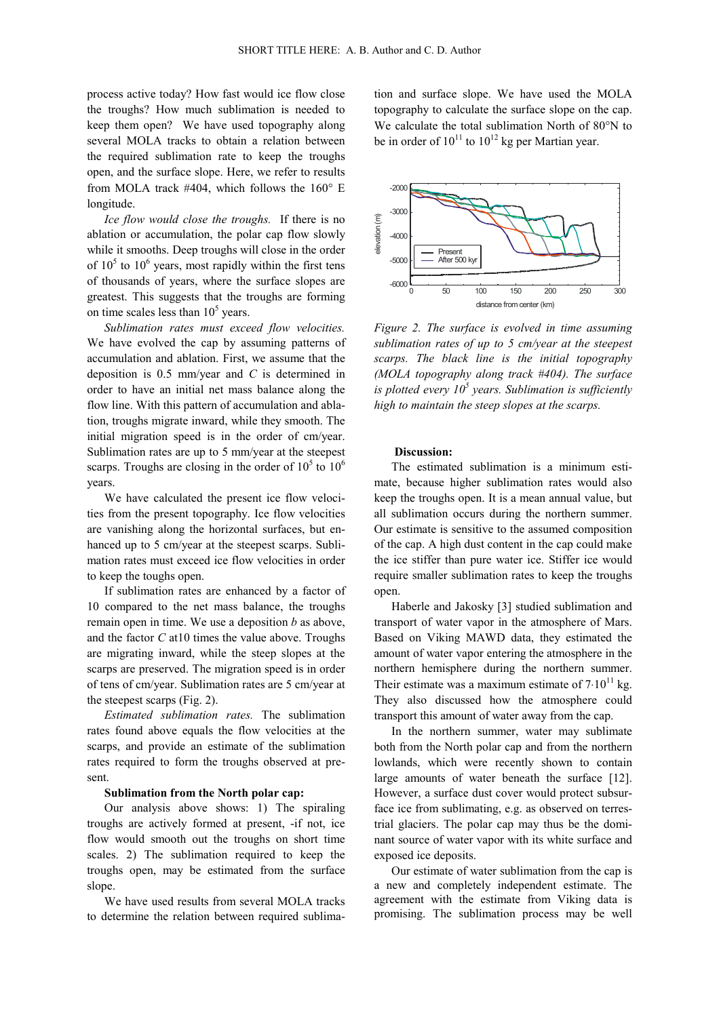process active today? How fast would ice flow close the troughs? How much sublimation is needed to keep them open? We have used topography along several MOLA tracks to obtain a relation between the required sublimation rate to keep the troughs open, and the surface slope. Here, we refer to results from MOLA track #404, which follows the 160° E longitude.

*Ice flow would close the troughs.* If there is no ablation or accumulation, the polar cap flow slowly while it smooths. Deep troughs will close in the order of  $10^5$  to  $10^6$  years, most rapidly within the first tens of thousands of years, where the surface slopes are greatest. This suggests that the troughs are forming on time scales less than  $10<sup>5</sup>$  years.

*Sublimation rates must exceed flow velocities.* We have evolved the cap by assuming patterns of accumulation and ablation. First, we assume that the deposition is 0.5 mm/year and *C* is determined in order to have an initial net mass balance along the flow line. With this pattern of accumulation and ablation, troughs migrate inward, while they smooth. The initial migration speed is in the order of cm/year. Sublimation rates are up to 5 mm/year at the steepest scarps. Troughs are closing in the order of  $10^5$  to  $10^6$ years.

We have calculated the present ice flow velocities from the present topography. Ice flow velocities are vanishing along the horizontal surfaces, but enhanced up to 5 cm/year at the steepest scarps. Sublimation rates must exceed ice flow velocities in order to keep the toughs open.

If sublimation rates are enhanced by a factor of 10 compared to the net mass balance, the troughs remain open in time. We use a deposition *b* as above, and the factor *C* at10 times the value above. Troughs are migrating inward, while the steep slopes at the scarps are preserved. The migration speed is in order of tens of cm/year. Sublimation rates are 5 cm/year at the steepest scarps (Fig. 2).

*Estimated sublimation rates.* The sublimation rates found above equals the flow velocities at the scarps, and provide an estimate of the sublimation rates required to form the troughs observed at present.

## **Sublimation from the North polar cap:**

Our analysis above shows: 1) The spiraling troughs are actively formed at present, -if not, ice flow would smooth out the troughs on short time scales. 2) The sublimation required to keep the troughs open, may be estimated from the surface slope.

We have used results from several MOLA tracks to determine the relation between required sublimation and surface slope. We have used the MOLA topography to calculate the surface slope on the cap. We calculate the total sublimation North of 80°N to be in order of  $10^{11}$  to  $10^{12}$  kg per Martian year.



*Figure 2. The surface is evolved in time assuming sublimation rates of up to 5 cm/year at the steepest scarps. The black line is the initial topography (MOLA topography along track #404). The surface is plotted every 10<sup>5</sup> years. Sublimation is sufficiently high to maintain the steep slopes at the scarps.* 

## **Discussion:**

The estimated sublimation is a minimum estimate, because higher sublimation rates would also keep the troughs open. It is a mean annual value, but all sublimation occurs during the northern summer. Our estimate is sensitive to the assumed composition of the cap. A high dust content in the cap could make the ice stiffer than pure water ice. Stiffer ice would require smaller sublimation rates to keep the troughs open.

Haberle and Jakosky [3] studied sublimation and transport of water vapor in the atmosphere of Mars. Based on Viking MAWD data, they estimated the amount of water vapor entering the atmosphere in the northern hemisphere during the northern summer. Their estimate was a maximum estimate of  $7.10^{11}$  kg. They also discussed how the atmosphere could transport this amount of water away from the cap.

In the northern summer, water may sublimate both from the North polar cap and from the northern lowlands, which were recently shown to contain large amounts of water beneath the surface [12]. However, a surface dust cover would protect subsurface ice from sublimating, e.g. as observed on terrestrial glaciers. The polar cap may thus be the dominant source of water vapor with its white surface and exposed ice deposits.

Our estimate of water sublimation from the cap is a new and completely independent estimate. The agreement with the estimate from Viking data is promising. The sublimation process may be well